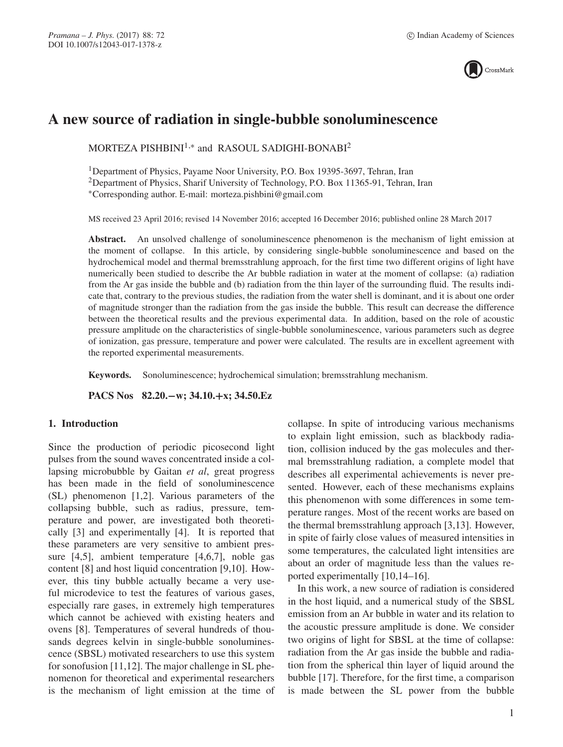

# **A new source of radiation in single-bubble sonoluminescence**

MORTEZA PISHBINI<sup>1,\*</sup> and RASOUL SADIGHI-BONABI<sup>2</sup>

1Department of Physics, Payame Noor University, P.O. Box 19395-3697, Tehran, Iran

<sup>2</sup>Department of Physics, Sharif University of Technology, P.O. Box 11365-91, Tehran, Iran

∗Corresponding author. E-mail: morteza.pishbini@gmail.com

MS received 23 April 2016; revised 14 November 2016; accepted 16 December 2016; published online 28 March 2017

**Abstract.** An unsolved challenge of sonoluminescence phenomenon is the mechanism of light emission at the moment of collapse. In this article, by considering single-bubble sonoluminescence and based on the hydrochemical model and thermal bremsstrahlung approach, for the first time two different origins of light have numerically been studied to describe the Ar bubble radiation in water at the moment of collapse: (a) radiation from the Ar gas inside the bubble and (b) radiation from the thin layer of the surrounding fluid. The results indicate that, contrary to the previous studies, the radiation from the water shell is dominant, and it is about one order of magnitude stronger than the radiation from the gas inside the bubble. This result can decrease the difference between the theoretical results and the previous experimental data. In addition, based on the role of acoustic pressure amplitude on the characteristics of single-bubble sonoluminescence, various parameters such as degree of ionization, gas pressure, temperature and power were calculated. The results are in excellent agreement with the reported experimental measurements.

**Keywords.** Sonoluminescence; hydrochemical simulation; bremsstrahlung mechanism.

**PACS Nos 82.20.−w; 34.10.+x; 34.50.Ez**

# **1. Introduction**

Since the production of periodic picosecond light pulses from the sound waves concentrated inside a collapsing microbubble by Gaitan *et al*, great progress has been made in the field of sonoluminescence (SL) phenomenon [1,2]. Various parameters of the collapsing bubble, such as radius, pressure, temperature and power, are investigated both theoretically [3] and experimentally [4]. It is reported that these parameters are very sensitive to ambient pressure [4,5], ambient temperature [4,6,7], noble gas content [8] and host liquid concentration [9,10]. However, this tiny bubble actually became a very useful microdevice to test the features of various gases, especially rare gases, in extremely high temperatures which cannot be achieved with existing heaters and ovens [8]. Temperatures of several hundreds of thousands degrees kelvin in single-bubble sonoluminescence (SBSL) motivated researchers to use this system for sonofusion [11,12]. The major challenge in SL phenomenon for theoretical and experimental researchers is the mechanism of light emission at the time of collapse. In spite of introducing various mechanisms to explain light emission, such as blackbody radiation, collision induced by the gas molecules and thermal bremsstrahlung radiation, a complete model that describes all experimental achievements is never presented. However, each of these mechanisms explains this phenomenon with some differences in some temperature ranges. Most of the recent works are based on the thermal bremsstrahlung approach [3,13]. However, in spite of fairly close values of measured intensities in some temperatures, the calculated light intensities are about an order of magnitude less than the values reported experimentally [10,14–16].

In this work, a new source of radiation is considered in the host liquid, and a numerical study of the SBSL emission from an Ar bubble in water and its relation to the acoustic pressure amplitude is done. We consider two origins of light for SBSL at the time of collapse: radiation from the Ar gas inside the bubble and radiation from the spherical thin layer of liquid around the bubble [17]. Therefore, for the first time, a comparison is made between the SL power from the bubble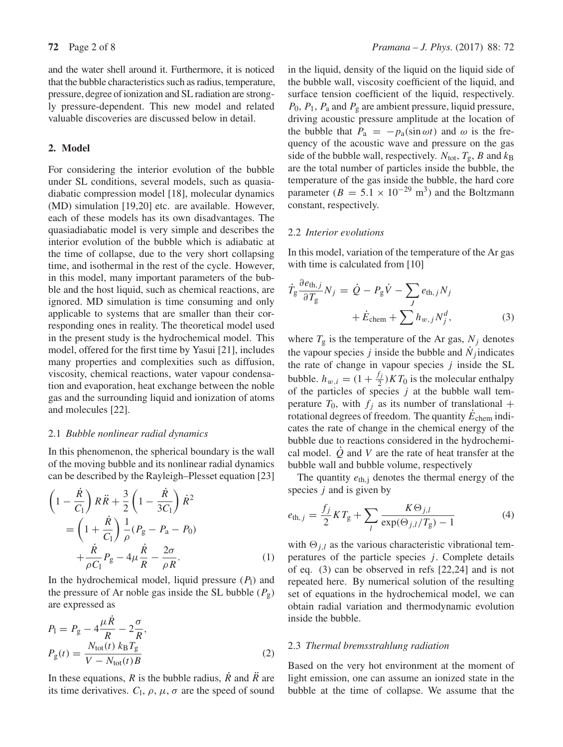and the water shell around it. Furthermore, it is noticed that the bubble characteristics such as radius, temperature, pressure, degree of ionization and SL radiation are strongly pressure-dependent. This new model and related valuable discoveries are discussed below in detail.

# **2. Model**

For considering the interior evolution of the bubble under SL conditions, several models, such as quasiadiabatic compression model [18], molecular dynamics (MD) simulation [19,20] etc. are available. However, each of these models has its own disadvantages. The quasiadiabatic model is very simple and describes the interior evolution of the bubble which is adiabatic at the time of collapse, due to the very short collapsing time, and isothermal in the rest of the cycle. However, in this model, many important parameters of the bubble and the host liquid, such as chemical reactions, are ignored. MD simulation is time consuming and only applicable to systems that are smaller than their corresponding ones in reality. The theoretical model used in the present study is the hydrochemical model. This model, offered for the first time by Yasui [21], includes many properties and complexities such as diffusion, viscosity, chemical reactions, water vapour condensation and evaporation, heat exchange between the noble gas and the surrounding liquid and ionization of atoms and molecules [22].

# 2.1 *Bubble nonlinear radial dynamics*

In this phenomenon, the spherical boundary is the wall of the moving bubble and its nonlinear radial dynamics can be described by the Rayleigh–Plesset equation [23]

$$
\left(1 - \frac{\dot{R}}{C_1}\right) R\ddot{R} + \frac{3}{2} \left(1 - \frac{\dot{R}}{3C_1}\right) \dot{R}^2
$$

$$
= \left(1 + \frac{\dot{R}}{C_1}\right) \frac{1}{\rho} (P_g - P_a - P_0)
$$

$$
+ \frac{\dot{R}}{\rho C_1} P_g - 4\mu \frac{\dot{R}}{R} - \frac{2\sigma}{\rho R}.
$$
(1)

In the hydrochemical model, liquid pressure  $(P_1)$  and the pressure of Ar noble gas inside the SL bubble  $(P_g)$ are expressed as

$$
P_1 = P_g - 4\frac{\mu \dot{R}}{R} - 2\frac{\sigma}{R},
$$
  
\n
$$
P_g(t) = \frac{N_{\text{tot}}(t) k_B T_g}{V - N_{\text{tot}}(t) B}
$$
 (2)

In these equations,  $R$  is the bubble radius,  $\overline{R}$  and  $\overline{R}$  are its time derivatives.  $C_1$ ,  $\rho$ ,  $\mu$ ,  $\sigma$  are the speed of sound

in the liquid, density of the liquid on the liquid side of the bubble wall, viscosity coefficient of the liquid, and surface tension coefficient of the liquid, respectively.  $P_0$ ,  $P_1$ ,  $P_a$  and  $P_g$  are ambient pressure, liquid pressure, driving acoustic pressure amplitude at the location of the bubble that  $P_a = -p_a(\sin \omega t)$  and  $\omega$  is the frequency of the acoustic wave and pressure on the gas side of the bubble wall, respectively.  $N_{\text{tot}}$ ,  $T_{\text{g}}$ , B and  $k_{\text{B}}$ are the total number of particles inside the bubble, the temperature of the gas inside the bubble, the hard core parameter ( $B = 5.1 \times 10^{-29}$  m<sup>3</sup>) and the Boltzmann constant, respectively.

# 2.2 *Interior e*v*olutions*

In this model, variation of the temperature of the Ar gas with time is calculated from [10]

$$
\dot{T}_{g} \frac{\partial e_{\text{th},j}}{\partial T_{g}} N_{j} = \dot{Q} - P_{g} \dot{V} - \sum_{J} e_{\text{th},j} N_{j} + \dot{E}_{\text{chem}} + \sum_{J} h_{w,j} N_{j}^{d},
$$
\n(3)

where  $T_g$  is the temperature of the Ar gas,  $N_j$  denotes the vapour species j inside the bubble and  $N_i$  indicates the rate of change in vapour species  $j$  inside the SL bubble.  $h_{w,i} = (1 + \frac{f_j}{2})KT_0$  is the molecular enthalpy of the particles of species  $j$  at the bubble wall temperature  $T_0$ , with  $f_i$  as its number of translational + rotational degrees of freedom. The quantity  $E_{\text{chem}}$  indicates the rate of change in the chemical energy of the bubble due to reactions considered in the hydrochemical model.  $\dot{Q}$  and V are the rate of heat transfer at the bubble wall and bubble volume, respectively

The quantity  $e_{th,j}$  denotes the thermal energy of the species  $j$  and is given by

$$
e_{\text{th},j} = \frac{f_j}{2}KT_{\text{g}} + \sum_{l} \frac{K\Theta_{j,l}}{\exp(\Theta_{j,l}/T_{\text{g}}) - 1}
$$
(4)

with  $\Theta_{j,l}$  as the various characteristic vibrational temperatures of the particle species  $j$ . Complete details of eq. (3) can be observed in refs [22,24] and is not repeated here. By numerical solution of the resulting set of equations in the hydrochemical model, we can obtain radial variation and thermodynamic evolution inside the bubble.

#### 2.3 *Thermal bremsstrahlung radiation*

Based on the very hot environment at the moment of light emission, one can assume an ionized state in the bubble at the time of collapse. We assume that the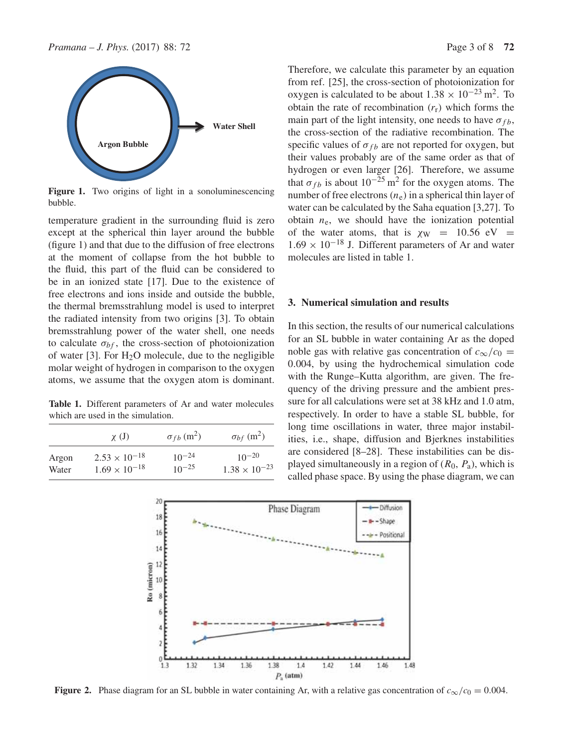

Figure 1. Two origins of light in a sonoluminescencing bubble.

temperature gradient in the surrounding fluid is zero except at the spherical thin layer around the bubble (figure 1) and that due to the diffusion of free electrons at the moment of collapse from the hot bubble to the fluid, this part of the fluid can be considered to be in an ionized state [17]. Due to the existence of free electrons and ions inside and outside the bubble, the thermal bremsstrahlung model is used to interpret the radiated intensity from two origins [3]. To obtain bremsstrahlung power of the water shell, one needs to calculate  $\sigma_{bf}$ , the cross-section of photoionization of water  $[3]$ . For  $H_2O$  molecule, due to the negligible molar weight of hydrogen in comparison to the oxygen atoms, we assume that the oxygen atom is dominant.

**Table 1.** Different parameters of Ar and water molecules which are used in the simulation.

|       | $\chi$ (J)             | $\sigma_{fb}$ (m <sup>2</sup> ) | $\sigma_{bf}(m^2)$     |
|-------|------------------------|---------------------------------|------------------------|
| Argon | $2.53 \times 10^{-18}$ | $10^{-24}$                      | $10^{-20}$             |
| Water | $1.69 \times 10^{-18}$ | $10^{-25}$                      | $1.38 \times 10^{-23}$ |

Therefore, we calculate this parameter by an equation from ref. [25], the cross-section of photoionization for oxygen is calculated to be about  $1.38 \times 10^{-23}$  m<sup>2</sup>. To obtain the rate of recombination  $(r_r)$  which forms the main part of the light intensity, one needs to have  $\sigma_{fb}$ , the cross-section of the radiative recombination. The specific values of  $\sigma_{fb}$  are not reported for oxygen, but their values probably are of the same order as that of hydrogen or even larger [26]. Therefore, we assume that  $\sigma_{fb}$  is about 10<sup>−25</sup> m<sup>2</sup> for the oxygen atoms. The number of free electrons  $(n_e)$  in a spherical thin layer of water can be calculated by the Saha equation [3,27]. To obtain  $n_e$ , we should have the ionization potential of the water atoms, that is  $\chi_W = 10.56$  eV =  $1.69 \times 10^{-18}$  J. Different parameters of Ar and water molecules are listed in table 1.

# **3. Numerical simulation and results**

In this section, the results of our numerical calculations for an SL bubble in water containing Ar as the doped noble gas with relative gas concentration of  $c_{\infty}/c_0 =$ 0.004, by using the hydrochemical simulation code with the Runge–Kutta algorithm, are given. The frequency of the driving pressure and the ambient pressure for all calculations were set at 38 kHz and 1.0 atm, respectively. In order to have a stable SL bubble, for long time oscillations in water, three major instabilities, i.e., shape, diffusion and Bjerknes instabilities are considered [8–28]. These instabilities can be displayed simultaneously in a region of  $(R_0, P_a)$ , which is called phase space. By using the phase diagram, we can



**Figure 2.** Phase diagram for an SL bubble in water containing Ar, with a relative gas concentration of  $c_{\infty}/c_0 = 0.004$ .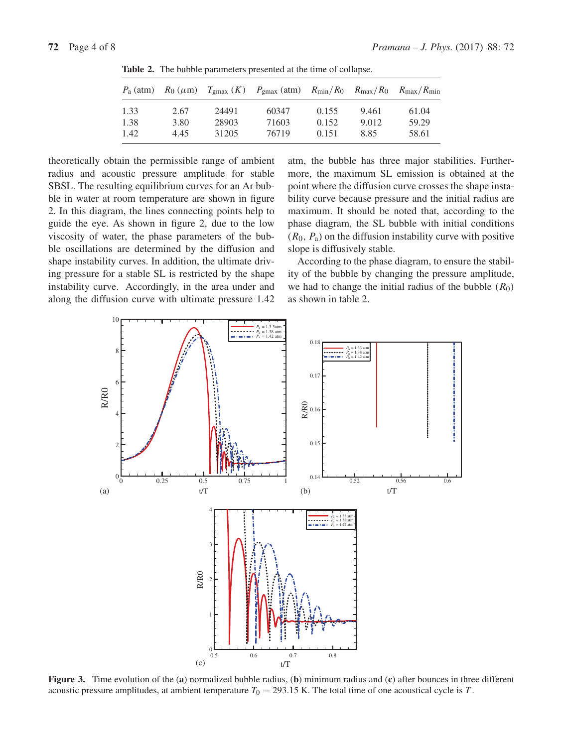| $P_{\rm a}$ (atm) |      |       | $R_0 \ (\mu \text{m})$ $T_{\text{gmax}} (K)$ $P_{\text{gmax}} (\text{atm})$ $R_{\text{min}} / R_0$ $R_{\text{max}} / R_0$ $R_{\text{max}} / R_{\text{min}}$ |       |       |       |
|-------------------|------|-------|-------------------------------------------------------------------------------------------------------------------------------------------------------------|-------|-------|-------|
| 1.33              | 2.67 | 24491 | 60347                                                                                                                                                       | 0.155 | 9.461 | 61.04 |
| 1.38              | 3.80 | 28903 | 71603                                                                                                                                                       | 0.152 | 9.012 | 59.29 |
| 1.42              | 4.45 | 31205 | 76719                                                                                                                                                       | 0.151 | 8.85  | 58.61 |

**Table 2.** The bubble parameters presented at the time of collapse.

theoretically obtain the permissible range of ambient radius and acoustic pressure amplitude for stable SBSL. The resulting equilibrium curves for an Ar bubble in water at room temperature are shown in figure 2. In this diagram, the lines connecting points help to guide the eye. As shown in figure 2, due to the low viscosity of water, the phase parameters of the bubble oscillations are determined by the diffusion and shape instability curves. In addition, the ultimate driving pressure for a stable SL is restricted by the shape instability curve. Accordingly, in the area under and along the diffusion curve with ultimate pressure 1.42 atm, the bubble has three major stabilities. Furthermore, the maximum SL emission is obtained at the point where the diffusion curve crosses the shape instability curve because pressure and the initial radius are maximum. It should be noted that, according to the phase diagram, the SL bubble with initial conditions  $(R_0, P_a)$  on the diffusion instability curve with positive slope is diffusively stable.

According to the phase diagram, to ensure the stability of the bubble by changing the pressure amplitude, we had to change the initial radius of the bubble  $(R_0)$ as shown in table 2.



**Figure 3.** Time evolution of the (**a**) normalized bubble radius, (**b**) minimum radius and (**c**) after bounces in three different acoustic pressure amplitudes, at ambient temperature  $T_0 = 293.15$  K. The total time of one acoustical cycle is T.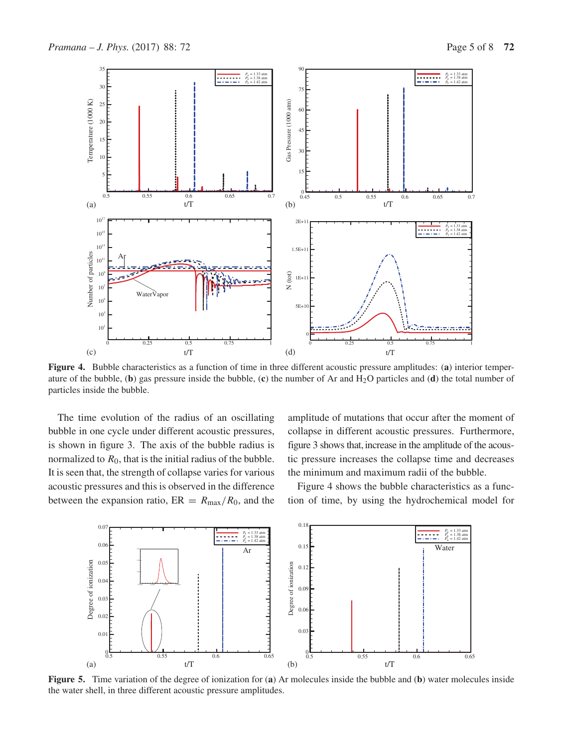

**Figure 4.** Bubble characteristics as a function of time in three different acoustic pressure amplitudes: (**a**) interior temperature of the bubble, (**b**) gas pressure inside the bubble, (**c**) the number of Ar and H2O particles and (**d**) the total number of particles inside the bubble.

The time evolution of the radius of an oscillating bubble in one cycle under different acoustic pressures, is shown in figure 3. The axis of the bubble radius is normalized to  $R_0$ , that is the initial radius of the bubble. It is seen that, the strength of collapse varies for various acoustic pressures and this is observed in the difference between the expansion ratio,  $ER = R_{\text{max}}/R_0$ , and the amplitude of mutations that occur after the moment of collapse in different acoustic pressures. Furthermore, figure 3 shows that, increase in the amplitude of the acoustic pressure increases the collapse time and decreases the minimum and maximum radii of the bubble.

Figure 4 shows the bubble characteristics as a function of time, by using the hydrochemical model for



**Figure 5.** Time variation of the degree of ionization for (**a**) Ar molecules inside the bubble and (**b**) water molecules inside the water shell, in three different acoustic pressure amplitudes.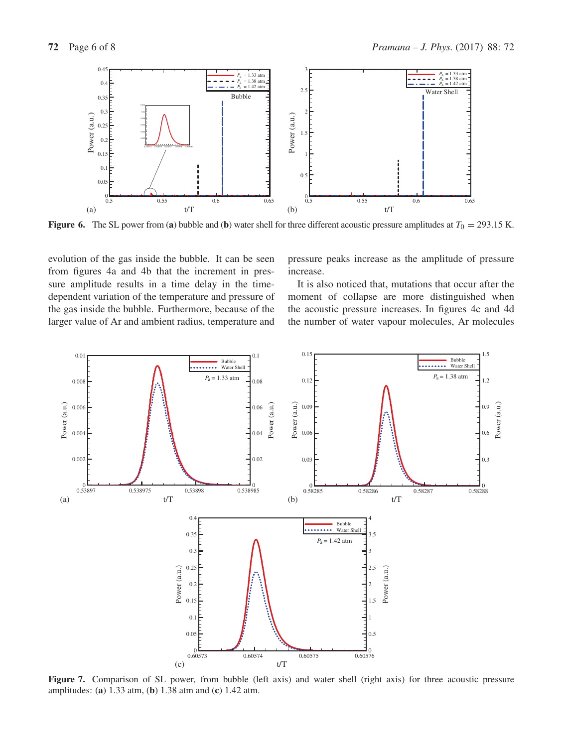

**Figure 6.** The SL power from (a) bubble and (b) water shell for three different acoustic pressure amplitudes at  $T_0 = 293.15$  K.

evolution of the gas inside the bubble. It can be seen from figures 4a and 4b that the increment in pressure amplitude results in a time delay in the timedependent variation of the temperature and pressure of the gas inside the bubble. Furthermore, because of the larger value of Ar and ambient radius, temperature and pressure peaks increase as the amplitude of pressure increase.

It is also noticed that, mutations that occur after the moment of collapse are more distinguished when the acoustic pressure increases. In figures 4c and 4d the number of water vapour molecules, Ar molecules



**Figure 7.** Comparison of SL power, from bubble (left axis) and water shell (right axis) for three acoustic pressure amplitudes: (**a**) 1.33 atm, (**b**) 1.38 atm and (**c**) 1.42 atm.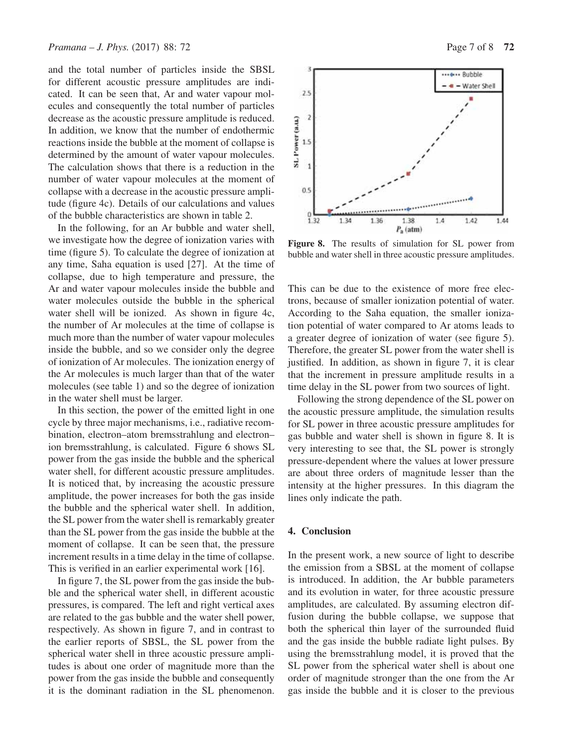and the total number of particles inside the SBSL for different acoustic pressure amplitudes are indicated. It can be seen that, Ar and water vapour molecules and consequently the total number of particles decrease as the acoustic pressure amplitude is reduced. In addition, we know that the number of endothermic reactions inside the bubble at the moment of collapse is determined by the amount of water vapour molecules. The calculation shows that there is a reduction in the number of water vapour molecules at the moment of collapse with a decrease in the acoustic pressure amplitude (figure 4c). Details of our calculations and values of the bubble characteristics are shown in table 2.

In the following, for an Ar bubble and water shell, we investigate how the degree of ionization varies with time (figure 5). To calculate the degree of ionization at any time, Saha equation is used [27]. At the time of collapse, due to high temperature and pressure, the Ar and water vapour molecules inside the bubble and water molecules outside the bubble in the spherical water shell will be ionized. As shown in figure 4c, the number of Ar molecules at the time of collapse is much more than the number of water vapour molecules inside the bubble, and so we consider only the degree of ionization of Ar molecules. The ionization energy of the Ar molecules is much larger than that of the water molecules (see table 1) and so the degree of ionization in the water shell must be larger.

In this section, the power of the emitted light in one cycle by three major mechanisms, i.e., radiative recombination, electron–atom bremsstrahlung and electron– ion bremsstrahlung, is calculated. Figure 6 shows SL power from the gas inside the bubble and the spherical water shell, for different acoustic pressure amplitudes. It is noticed that, by increasing the acoustic pressure amplitude, the power increases for both the gas inside the bubble and the spherical water shell. In addition, the SL power from the water shell is remarkably greater than the SL power from the gas inside the bubble at the moment of collapse. It can be seen that, the pressure increment results in a time delay in the time of collapse. This is verified in an earlier experimental work [16].

In figure 7, the SL power from the gas inside the bubble and the spherical water shell, in different acoustic pressures, is compared. The left and right vertical axes are related to the gas bubble and the water shell power, respectively. As shown in figure 7, and in contrast to the earlier reports of SBSL, the SL power from the spherical water shell in three acoustic pressure amplitudes is about one order of magnitude more than the power from the gas inside the bubble and consequently it is the dominant radiation in the SL phenomenon.



**Figure 8.** The results of simulation for SL power from bubble and water shell in three acoustic pressure amplitudes.

This can be due to the existence of more free electrons, because of smaller ionization potential of water. According to the Saha equation, the smaller ionization potential of water compared to Ar atoms leads to a greater degree of ionization of water (see figure 5). Therefore, the greater SL power from the water shell is justified. In addition, as shown in figure 7, it is clear that the increment in pressure amplitude results in a time delay in the SL power from two sources of light.

Following the strong dependence of the SL power on the acoustic pressure amplitude, the simulation results for SL power in three acoustic pressure amplitudes for gas bubble and water shell is shown in figure 8. It is very interesting to see that, the SL power is strongly pressure-dependent where the values at lower pressure are about three orders of magnitude lesser than the intensity at the higher pressures. In this diagram the lines only indicate the path.

# **4. Conclusion**

In the present work, a new source of light to describe the emission from a SBSL at the moment of collapse is introduced. In addition, the Ar bubble parameters and its evolution in water, for three acoustic pressure amplitudes, are calculated. By assuming electron diffusion during the bubble collapse, we suppose that both the spherical thin layer of the surrounded fluid and the gas inside the bubble radiate light pulses. By using the bremsstrahlung model, it is proved that the SL power from the spherical water shell is about one order of magnitude stronger than the one from the Ar gas inside the bubble and it is closer to the previous